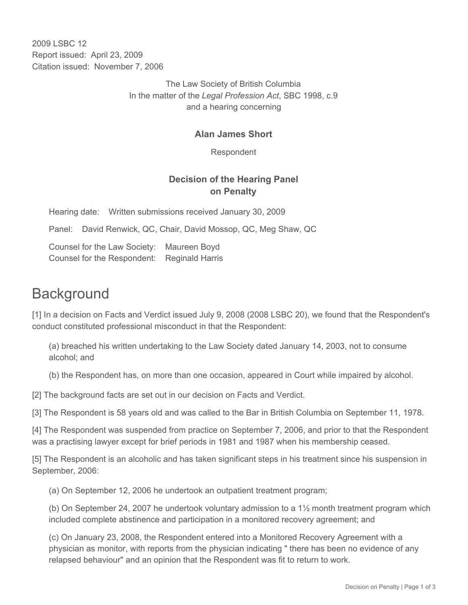2009 LSBC 12 Report issued: April 23, 2009 Citation issued: November 7, 2006

> The Law Society of British Columbia In the matter of the *Legal Profession Act*, SBC 1998, c.9 and a hearing concerning

### **Alan James Short**

Respondent

## **Decision of the Hearing Panel on Penalty**

Hearing date: Written submissions received January 30, 2009

Panel: David Renwick, QC, Chair, David Mossop, QC, Meg Shaw, QC

Counsel for the Law Society: Maureen Boyd Counsel for the Respondent: Reginald Harris

# **Background**

[1] In a decision on Facts and Verdict issued July 9, 2008 (2008 LSBC 20), we found that the Respondent's conduct constituted professional misconduct in that the Respondent:

(a) breached his written undertaking to the Law Society dated January 14, 2003, not to consume alcohol; and

(b) the Respondent has, on more than one occasion, appeared in Court while impaired by alcohol.

[2] The background facts are set out in our decision on Facts and Verdict.

[3] The Respondent is 58 years old and was called to the Bar in British Columbia on September 11, 1978.

[4] The Respondent was suspended from practice on September 7, 2006, and prior to that the Respondent was a practising lawyer except for brief periods in 1981 and 1987 when his membership ceased.

[5] The Respondent is an alcoholic and has taken significant steps in his treatment since his suspension in September, 2006:

(a) On September 12, 2006 he undertook an outpatient treatment program;

(b) On September 24, 2007 he undertook voluntary admission to a 1½ month treatment program which included complete abstinence and participation in a monitored recovery agreement; and

(c) On January 23, 2008, the Respondent entered into a Monitored Recovery Agreement with a physician as monitor, with reports from the physician indicating " there has been no evidence of any relapsed behaviour" and an opinion that the Respondent was fit to return to work.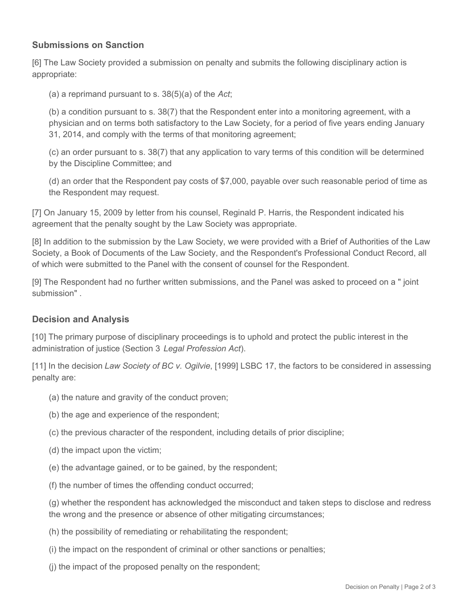### **Submissions on Sanction**

[6] The Law Society provided a submission on penalty and submits the following disciplinary action is appropriate:

(a) a reprimand pursuant to s. 38(5)(a) of the *Act*;

(b) a condition pursuant to s. 38(7) that the Respondent enter into a monitoring agreement, with a physician and on terms both satisfactory to the Law Society, for a period of five years ending January 31, 2014, and comply with the terms of that monitoring agreement;

(c) an order pursuant to s. 38(7) that any application to vary terms of this condition will be determined by the Discipline Committee; and

(d) an order that the Respondent pay costs of \$7,000, payable over such reasonable period of time as the Respondent may request.

[7] On January 15, 2009 by letter from his counsel, Reginald P. Harris, the Respondent indicated his agreement that the penalty sought by the Law Society was appropriate.

[8] In addition to the submission by the Law Society, we were provided with a Brief of Authorities of the Law Society, a Book of Documents of the Law Society, and the Respondent's Professional Conduct Record, all of which were submitted to the Panel with the consent of counsel for the Respondent.

[9] The Respondent had no further written submissions, and the Panel was asked to proceed on a " joint submission" .

#### **Decision and Analysis**

[10] The primary purpose of disciplinary proceedings is to uphold and protect the public interest in the administration of justice (Section 3 *Legal Profession Act*).

[11] In the decision *Law Society of BC v. Ogilvie*, [1999] LSBC 17, the factors to be considered in assessing penalty are:

- (a) the nature and gravity of the conduct proven;
- (b) the age and experience of the respondent;
- (c) the previous character of the respondent, including details of prior discipline;
- (d) the impact upon the victim;
- (e) the advantage gained, or to be gained, by the respondent;
- (f) the number of times the offending conduct occurred;

(g) whether the respondent has acknowledged the misconduct and taken steps to disclose and redress the wrong and the presence or absence of other mitigating circumstances;

- (h) the possibility of remediating or rehabilitating the respondent;
- (i) the impact on the respondent of criminal or other sanctions or penalties;
- (j) the impact of the proposed penalty on the respondent;